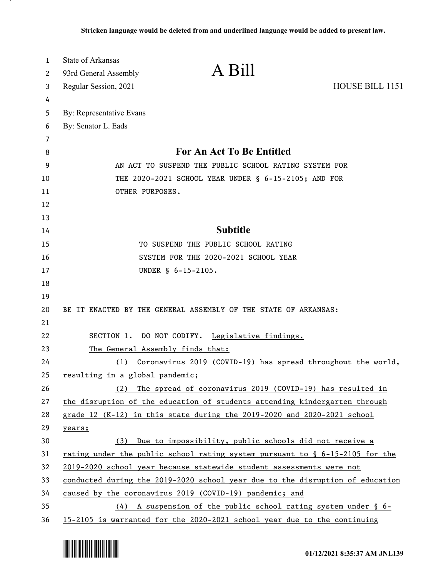| 1  | <b>State of Arkansas</b>                                                      |                                                                                 |                        |
|----|-------------------------------------------------------------------------------|---------------------------------------------------------------------------------|------------------------|
| 2  | 93rd General Assembly                                                         | A Bill                                                                          |                        |
| 3  | Regular Session, 2021                                                         |                                                                                 | <b>HOUSE BILL 1151</b> |
| 4  |                                                                               |                                                                                 |                        |
| 5  | By: Representative Evans                                                      |                                                                                 |                        |
| 6  | By: Senator L. Eads                                                           |                                                                                 |                        |
| 7  |                                                                               |                                                                                 |                        |
| 8  | <b>For An Act To Be Entitled</b>                                              |                                                                                 |                        |
| 9  | AN ACT TO SUSPEND THE PUBLIC SCHOOL RATING SYSTEM FOR                         |                                                                                 |                        |
| 10 | THE 2020-2021 SCHOOL YEAR UNDER § 6-15-2105; AND FOR                          |                                                                                 |                        |
| 11 | OTHER PURPOSES.                                                               |                                                                                 |                        |
| 12 |                                                                               |                                                                                 |                        |
| 13 |                                                                               |                                                                                 |                        |
| 14 | <b>Subtitle</b>                                                               |                                                                                 |                        |
| 15 | TO SUSPEND THE PUBLIC SCHOOL RATING                                           |                                                                                 |                        |
| 16 | SYSTEM FOR THE 2020-2021 SCHOOL YEAR                                          |                                                                                 |                        |
| 17 |                                                                               | UNDER § 6-15-2105.                                                              |                        |
| 18 |                                                                               |                                                                                 |                        |
| 19 |                                                                               |                                                                                 |                        |
| 20 |                                                                               | BE IT ENACTED BY THE GENERAL ASSEMBLY OF THE STATE OF ARKANSAS:                 |                        |
| 21 |                                                                               |                                                                                 |                        |
| 22 |                                                                               | SECTION 1. DO NOT CODIFY. Legislative findings.                                 |                        |
| 23 | The General Assembly finds that:                                              |                                                                                 |                        |
| 24 | (1)                                                                           | Coronavirus 2019 (COVID-19) has spread throughout the world,                    |                        |
| 25 | resulting in a global pandemic;                                               |                                                                                 |                        |
| 26 | (2)                                                                           | The spread of coronavirus 2019 (COVID-19) has resulted in                       |                        |
| 27 |                                                                               | the disruption of the education of students attending kindergarten through      |                        |
| 28 |                                                                               | grade 12 (K-12) in this state during the 2019-2020 and 2020-2021 school         |                        |
| 29 | years;                                                                        |                                                                                 |                        |
| 30 |                                                                               | (3) Due to impossibility, public schools did not receive a                      |                        |
| 31 |                                                                               | rating under the public school rating system pursuant to $\S$ 6-15-2105 for the |                        |
| 32 | 2019-2020 school year because statewide student assessments were not          |                                                                                 |                        |
| 33 | conducted during the 2019-2020 school year due to the disruption of education |                                                                                 |                        |
| 34 |                                                                               | caused by the coronavirus 2019 (COVID-19) pandemic; and                         |                        |
| 35 |                                                                               | $(4)$ A suspension of the public school rating system under § 6-                |                        |
| 36 |                                                                               | 15-2105 is warranted for the 2020-2021 school year due to the continuing        |                        |